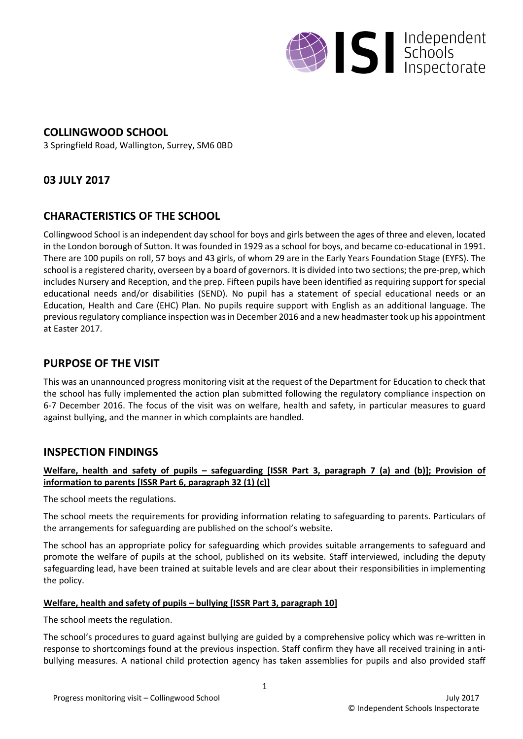

## **COLLINGWOOD SCHOOL**

3 Springfield Road, Wallington, Surrey, SM6 0BD

# **03 JULY 2017**

# **CHARACTERISTICS OF THE SCHOOL**

Collingwood School is an independent day school for boys and girls between the ages of three and eleven, located in the London borough of Sutton. It wasfounded in 1929 as a school for boys, and became co-educational in 1991. There are 100 pupils on roll, 57 boys and 43 girls, of whom 29 are in the Early Years Foundation Stage (EYFS). The school is a registered charity, overseen by a board of governors. It is divided into two sections; the pre-prep, which includes Nursery and Reception, and the prep. Fifteen pupils have been identified as requiring support for special educational needs and/or disabilities (SEND). No pupil has a statement of special educational needs or an Education, Health and Care (EHC) Plan. No pupils require support with English as an additional language. The previous regulatory compliance inspection was in December 2016 and a new headmaster took up his appointment at Easter 2017.

## **PURPOSE OF THE VISIT**

This was an unannounced progress monitoring visit at the request of the Department for Education to check that the school has fully implemented the action plan submitted following the regulatory compliance inspection on 6-7 December 2016. The focus of the visit was on welfare, health and safety, in particular measures to guard against bullying, and the manner in which complaints are handled.

### **INSPECTION FINDINGS**

#### Welfare, health and safety of pupils - safeguarding [ISSR Part 3, paragraph 7 (a) and (b)]; Provision of **information to parents [ISSR Part 6, paragraph 32 (1) (c)]**

The school meets the regulations.

The school meets the requirements for providing information relating to safeguarding to parents. Particulars of the arrangements for safeguarding are published on the school's website.

The school has an appropriate policy for safeguarding which provides suitable arrangements to safeguard and promote the welfare of pupils at the school, published on its website. Staff interviewed, including the deputy safeguarding lead, have been trained at suitable levels and are clear about their responsibilities in implementing the policy.

#### **Welfare, health and safety of pupils – bullying [ISSR Part 3, paragraph 10]**

The school meets the regulation.

The school's procedures to guard against bullying are guided by a comprehensive policy which was re-written in response to shortcomings found at the previous inspection. Staff confirm they have all received training in antibullying measures. A national child protection agency has taken assemblies for pupils and also provided staff